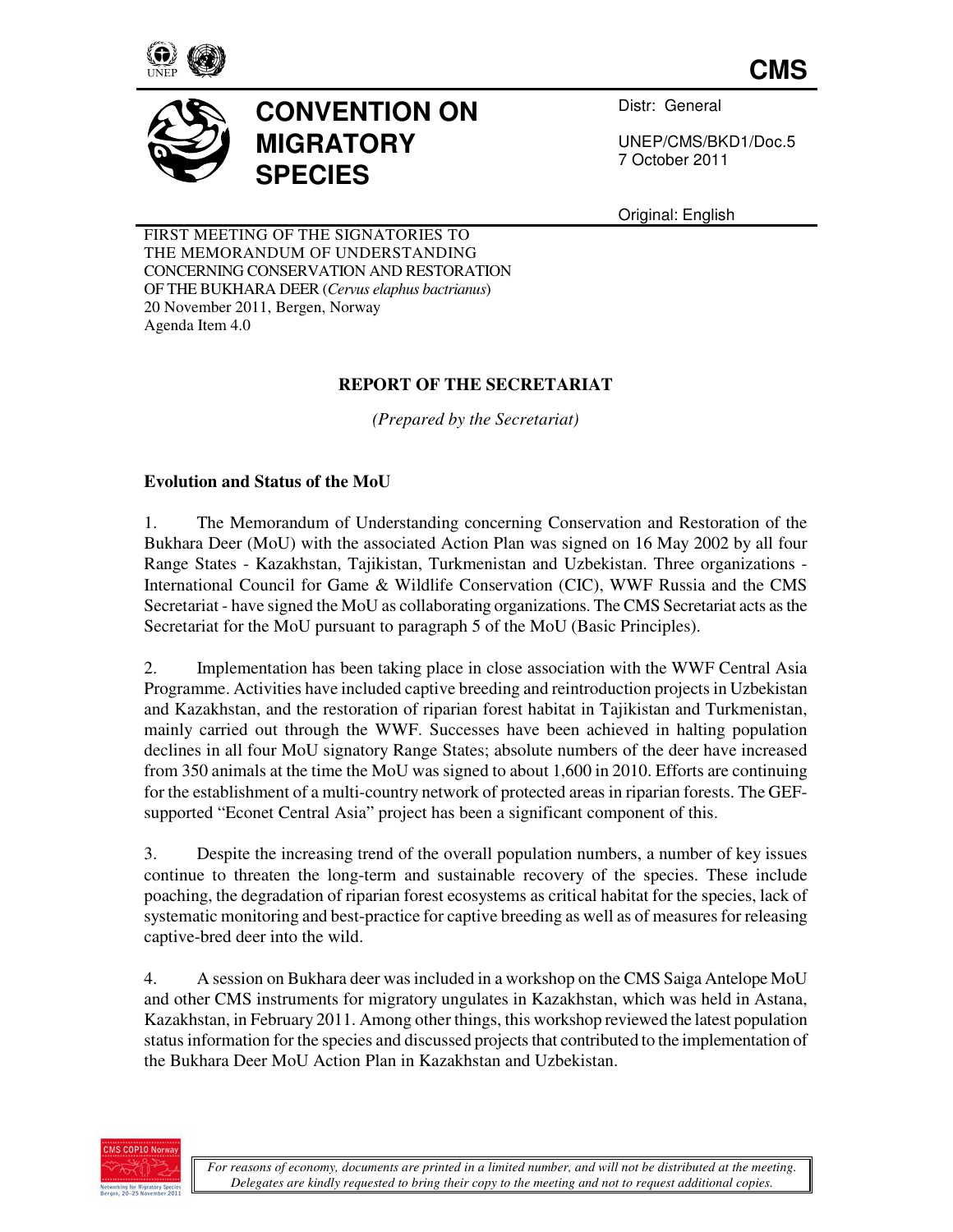

**CMS**



Distr: General

UNEP/CMS/BKD1/Doc.5 7 October 2011

Original: English

FIRST MEETING OF THE SIGNATORIES TO THE MEMORANDUM OF UNDERSTANDING CONCERNING CONSERVATION AND RESTORATION OF THE BUKHARA DEER (*Cervus elaphus bactrianus*) 20 November 2011, Bergen, Norway Agenda Item 4.0

# **REPORT OF THE SECRETARIAT**

*(Prepared by the Secretariat)* 

## **Evolution and Status of the MoU**

1. The Memorandum of Understanding concerning Conservation and Restoration of the Bukhara Deer (MoU) with the associated Action Plan was signed on 16 May 2002 by all four Range States - Kazakhstan, Tajikistan, Turkmenistan and Uzbekistan. Three organizations - International Council for Game & Wildlife Conservation (CIC), WWF Russia and the CMS Secretariat - have signed the MoU as collaborating organizations. The CMS Secretariat acts as the Secretariat for the MoU pursuant to paragraph 5 of the MoU (Basic Principles).

2. Implementation has been taking place in close association with the WWF Central Asia Programme. Activities have included captive breeding and reintroduction projects in Uzbekistan and Kazakhstan, and the restoration of riparian forest habitat in Tajikistan and Turkmenistan, mainly carried out through the WWF. Successes have been achieved in halting population declines in all four MoU signatory Range States; absolute numbers of the deer have increased from 350 animals at the time the MoU was signed to about 1,600 in 2010. Efforts are continuing for the establishment of a multi-country network of protected areas in riparian forests. The GEFsupported "Econet Central Asia" project has been a significant component of this.

3. Despite the increasing trend of the overall population numbers, a number of key issues continue to threaten the long-term and sustainable recovery of the species. These include poaching, the degradation of riparian forest ecosystems as critical habitat for the species, lack of systematic monitoring and best-practice for captive breeding as well as of measures for releasing captive-bred deer into the wild.

4. A session on Bukhara deer was included in a workshop on the CMS Saiga Antelope MoU and other CMS instruments for migratory ungulates in Kazakhstan, which was held in Astana, Kazakhstan, in February 2011. Among other things, this workshop reviewed the latest population status information for the species and discussed projects that contributed to the implementation of the Bukhara Deer MoU Action Plan in Kazakhstan and Uzbekistan.

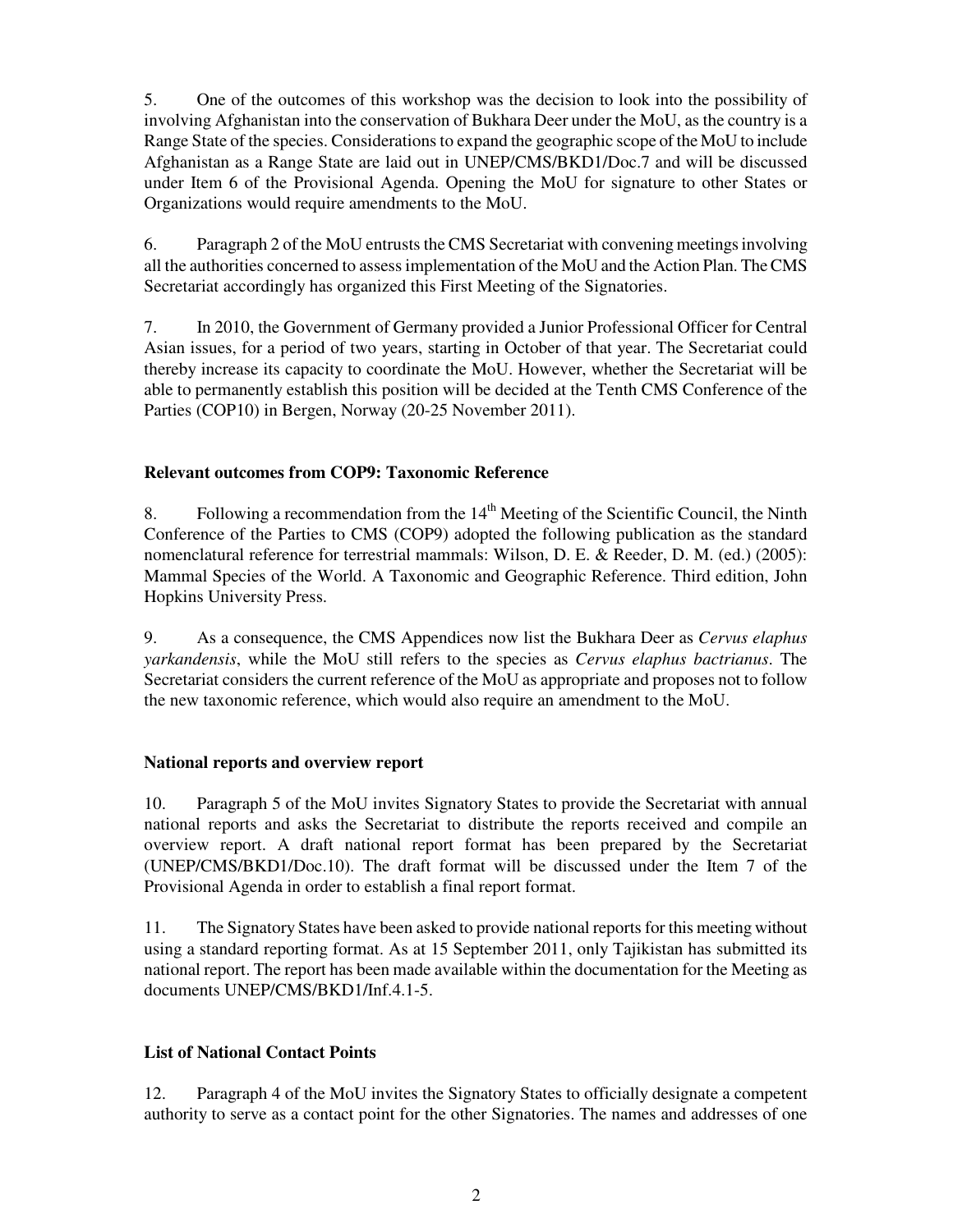5. One of the outcomes of this workshop was the decision to look into the possibility of involving Afghanistan into the conservation of Bukhara Deer under the MoU, as the country is a Range State of the species. Considerations to expand the geographic scope of the MoU to include Afghanistan as a Range State are laid out in UNEP/CMS/BKD1/Doc.7 and will be discussed under Item 6 of the Provisional Agenda. Opening the MoU for signature to other States or Organizations would require amendments to the MoU.

6. Paragraph 2 of the MoU entrusts the CMS Secretariat with convening meetings involving all the authorities concerned to assess implementation of the MoU and the Action Plan. The CMS Secretariat accordingly has organized this First Meeting of the Signatories.

7. In 2010, the Government of Germany provided a Junior Professional Officer for Central Asian issues, for a period of two years, starting in October of that year. The Secretariat could thereby increase its capacity to coordinate the MoU. However, whether the Secretariat will be able to permanently establish this position will be decided at the Tenth CMS Conference of the Parties (COP10) in Bergen, Norway (20-25 November 2011).

## **Relevant outcomes from COP9: Taxonomic Reference**

8. Following a recommendation from the  $14<sup>th</sup>$  Meeting of the Scientific Council, the Ninth Conference of the Parties to CMS (COP9) adopted the following publication as the standard nomenclatural reference for terrestrial mammals: Wilson, D. E. & Reeder, D. M. (ed.) (2005): Mammal Species of the World. A Taxonomic and Geographic Reference. Third edition, John Hopkins University Press.

9. As a consequence, the CMS Appendices now list the Bukhara Deer as *Cervus elaphus yarkandensis*, while the MoU still refers to the species as *Cervus elaphus bactrianus*. The Secretariat considers the current reference of the MoU as appropriate and proposes not to follow the new taxonomic reference, which would also require an amendment to the MoU.

## **National reports and overview report**

10. Paragraph 5 of the MoU invites Signatory States to provide the Secretariat with annual national reports and asks the Secretariat to distribute the reports received and compile an overview report. A draft national report format has been prepared by the Secretariat (UNEP/CMS/BKD1/Doc.10). The draft format will be discussed under the Item 7 of the Provisional Agenda in order to establish a final report format.

11. The Signatory States have been asked to provide national reports for this meeting without using a standard reporting format. As at 15 September 2011, only Tajikistan has submitted its national report. The report has been made available within the documentation for the Meeting as documents UNEP/CMS/BKD1/Inf.4.1-5.

## **List of National Contact Points**

12. Paragraph 4 of the MoU invites the Signatory States to officially designate a competent authority to serve as a contact point for the other Signatories. The names and addresses of one